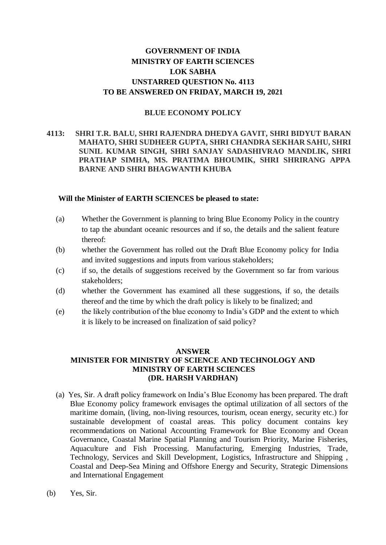# **GOVERNMENT OF INDIA MINISTRY OF EARTH SCIENCES LOK SABHA UNSTARRED QUESTION No. 4113 TO BE ANSWERED ON FRIDAY, MARCH 19, 2021**

### **BLUE ECONOMY POLICY**

### **4113: SHRI T.R. BALU, SHRI RAJENDRA DHEDYA GAVIT, SHRI BIDYUT BARAN MAHATO, SHRI SUDHEER GUPTA, SHRI CHANDRA SEKHAR SAHU, SHRI SUNIL KUMAR SINGH, SHRI SANJAY SADASHIVRAO MANDLIK, SHRI PRATHAP SIMHA, MS. PRATIMA BHOUMIK, SHRI SHRIRANG APPA BARNE AND SHRI BHAGWANTH KHUBA**

#### **Will the Minister of EARTH SCIENCES be pleased to state:**

- (a) Whether the Government is planning to bring Blue Economy Policy in the country to tap the abundant oceanic resources and if so, the details and the salient feature thereof:
- (b) whether the Government has rolled out the Draft Blue Economy policy for India and invited suggestions and inputs from various stakeholders;
- (c) if so, the details of suggestions received by the Government so far from various stakeholders;
- (d) whether the Government has examined all these suggestions, if so, the details thereof and the time by which the draft policy is likely to be finalized; and
- (e) the likely contribution of the blue economy to India's GDP and the extent to which it is likely to be increased on finalization of said policy?

#### **ANSWER**

## **MINISTER FOR MINISTRY OF SCIENCE AND TECHNOLOGY AND MINISTRY OF EARTH SCIENCES (DR. HARSH VARDHAN)**

- (a) Yes, Sir. A draft policy framework on India's Blue Economy has been prepared. The draft Blue Economy policy framework envisages the optimal utilization of all sectors of the maritime domain, (living, non-living resources, tourism, ocean energy, security etc.) for sustainable development of coastal areas. This policy document contains key recommendations on National Accounting Framework for Blue Economy and Ocean Governance, Coastal Marine Spatial Planning and Tourism Priority, Marine Fisheries, Aquaculture and Fish Processing. Manufacturing, Emerging Industries, Trade, Technology, Services and Skill Development, Logistics, Infrastructure and Shipping , Coastal and Deep-Sea Mining and Offshore Energy and Security, Strategic Dimensions and International Engagement
- (b) Yes, Sir.